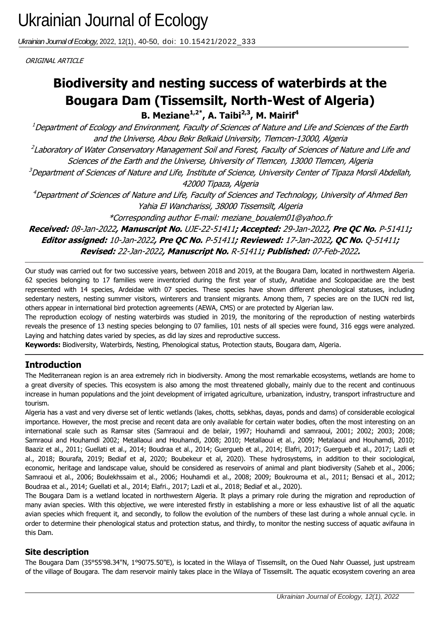*Ukrainian Journal of Ecology,* 2022, 12(1), 40-50, doi: 10.15421/2022\_333

ORIGINAL ARTICLE

# **Bougara Dam (Tissemsilt, North-West of Algeria) Biodiversity and nesting success of waterbirds at the**

**B. Meziane1,2\* , A. Taibi2,3, M. Mairif<sup>4</sup>**

 $^1$ Department of Ecology and Environment, Faculty of Sciences of Nature and Life and Sciences of the Earth and the Universe, Abou Bekr Belkaid University, Tlemcen-13000, Algeria

<sup>2</sup>Laboratory of Water Conservatory Management Soil and Forest, Faculty of Sciences of Nature and Life and Sciences of the Earth and the Universe, University of Tlemcen, 13000 Tlemcen, Algeria

<sup>3</sup>Department of Sciences of Nature and Life, Institute of Science, University Center of Tipaza Morsli Abdellah, 42000 Tipaza, Algeria

<sup>4</sup>Department of Sciences of Nature and Life, Faculty of Sciences and Technology, University of Ahmed Ben Yahia El Wancharissi, 38000 Tissemsilt, Algeria

\*Corresponding author E-mail: meziane\_boualem01@yahoo.fr

**Received:** 08-Jan-2022**, Manuscript No.** UJE-22-51411**; Accepted:** 29-Jan-2022**, Pre QC No.** P-51411**; Editor assigned:** 10-Jan-2022**, Pre QC No.** P-51411**; Reviewed:** 17-Jan-2022**, QC No.** Q-51411**; Revised:** 22-Jan-2022**, Manuscript No.** R-51411**; Published:** 07-Feb-2022**.**

Our study was carried out for two successive years, between 2018 and 2019, at the Bougara Dam, located in northwestern Algeria. 62 species belonging to 17 families were inventoried during the first year of study, Anatidae and Scolopacidae are the best represented with 14 species, Ardeidae with 07 species. These species have shown different phenological statuses, including sedentary nesters, nesting summer visitors, winterers and transient migrants. Among them, 7 species are on the IUCN red list, others appear in international bird protection agreements (AEWA, CMS) or are protected by Algerian law.

The reproduction ecology of nesting waterbirds was studied in 2019, the monitoring of the reproduction of nesting waterbirds reveals the presence of 13 nesting species belonging to 07 families, 101 nests of all species were found, 316 eggs were analyzed. Laying and hatching dates varied by species, as did lay sizes and reproductive success.

**Keywords:** Biodiversity, Waterbirds, Nesting, Phenological status, Protection stauts, Bougara dam, Algeria.

## **Introduction**

The Mediterranean region is an area extremely rich in biodiversity. Among the most remarkable ecosystems, wetlands are home to a great diversity of species. This ecosystem is also among the most threatened globally, mainly due to the recent and continuous increase in human populations and the joint development of irrigated agriculture, urbanization, industry, transport infrastructure and tourism.

Algeria has a vast and very diverse set of lentic wetlands (lakes, chotts, sebkhas, dayas, ponds and dams) of considerable ecological importance. However, the most precise and recent data are only available for certain water bodies, often the most interesting on an international scale such as Ramsar sites (Samraoui and de belair, 1997; Houhamdi and samraoui, 2001; 2002; 2003; 2008; Samraoui and Houhamdi 2002; Metallaoui and Houhamdi, 2008; 2010; Metallaoui et al., 2009; Metalaoui and Houhamdi, 2010; Baaziz et al., 2011; Guellati et al., 2014; Boudraa et al., 2014; Guergueb et al., 2014; Elafri, 2017; Guergueb et al., 2017; Lazli et al., 2018; Bourafa, 2019; Bediaf et al, 2020; Boubekeur et al, 2020). These hydrosystems, in addition to their sociological, economic, heritage and landscape value, should be considered as reservoirs of animal and plant biodiversity (Saheb et al., 2006; Samraoui et al., 2006; Boulekhssaim et al., 2006; Houhamdi et al., 2008; 2009; Boukrouma et al., 2011; Bensaci et al., 2012; Boudraa et al., 2014; Guellati et al., 2014; Elafri., 2017; Lazli et al., 2018; Bediaf et al., 2020).

The Bougara Dam is a wetland located in northwestern Algeria. It plays a primary role during the migration and reproduction of many avian species. With this objective, we were interested firstly in establishing a more or less exhaustive list of all the aquatic avian species which frequent it, and secondly, to follow the evolution of the numbers of these last during a whole annual cycle. in order to determine their phenological status and protection status, and thirdly, to monitor the nesting success of aquatic avifauna in this Dam.

#### **Site description**

The Bougara Dam (35°55'98.34"N, 1°90'75.50"E), is located in the Wilaya of Tissemsilt, on the Oued Nahr Ouassel, just upstream of the village of Bougara. The dam reservoir mainly takes place in the Wilaya of Tissemsilt. The aquatic ecosystem covering an area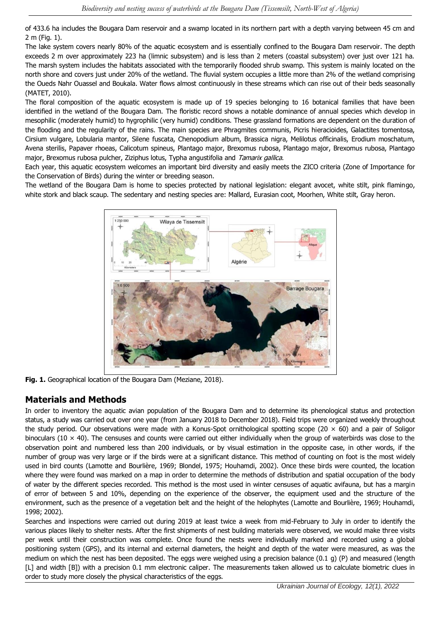of 433.6 ha includes the Bougara Dam reservoir and a swamp located in its northern part with a depth varying between 45 cm and 2 m (Fig. 1).

The lake system covers nearly 80% of the aquatic ecosystem and is essentially confined to the Bougara Dam reservoir. The depth exceeds 2 m over approximately 223 ha (limnic subsystem) and is less than 2 meters (coastal subsystem) over just over 121 ha. The marsh system includes the habitats associated with the temporarily flooded shrub swamp. This system is mainly located on the north shore and covers just under 20% of the wetland. The fluvial system occupies a little more than 2% of the wetland comprising the Oueds Nahr Ouassel and Boukala. Water flows almost continuously in these streams which can rise out of their beds seasonally (MATET, 2010).

The floral composition of the aquatic ecosystem is made up of 19 species belonging to 16 botanical families that have been identified in the wetland of the Bougara Dam. The floristic record shows a notable dominance of annual species which develop in mesophilic (moderately humid) to hygrophilic (very humid) conditions. These grassland formations are dependent on the duration of the flooding and the regularity of the rains. The main species are Phragmites communis, Picris hieracioides, Galactites tomentosa, Cirsium vulgare, Lobularia mantor, Silene fuscata, Chenopodium album, Brassica nigra, Melilotus officinalis, Erodium moschatum, Avena sterilis, Papaver rhoeas, Calicotum spineus, Plantago major, Brexomus rubosa, Plantago major, Brexomus rubosa, Plantago major, Brexomus rubosa pulcher, Ziziphus lotus, Typha angustifolia and Tamarix gallica.

Each year, this aquatic ecosystem welcomes an important bird diversity and easily meets the ZICO criteria (Zone of Importance for the Conservation of Birds) during the winter or breeding season.

The wetland of the Bougara Dam is home to species protected by national legislation: elegant avocet, white stilt, pink flamingo, white stork and black scaup. The sedentary and nesting species are: Mallard, Eurasian coot, Moorhen, White stilt, Gray heron.



**Fig. 1.** Geographical location of the Bougara Dam (Meziane, 2018).

## **Materials and Methods**

In order to inventory the aquatic avian population of the Bougara Dam and to determine its phenological status and protection status, a study was carried out over one year (from January 2018 to December 2018). Field trips were organized weekly throughout the study period. Our observations were made with a Konus-Spot ornithological spotting scope (20  $\times$  60) and a pair of Soligor binoculars (10  $\times$  40). The censuses and counts were carried out either individually when the group of waterbirds was close to the observation point and numbered less than 200 individuals, or by visual estimation in the opposite case, in other words, if the number of group was very large or if the birds were at a significant distance. This method of counting on foot is the most widely used in bird counts (Lamotte and Bourlière, 1969; Blondel, 1975; Houhamdi, 2002). Once these birds were counted, the location where they were found was marked on a map in order to determine the methods of distribution and spatial occupation of the body of water by the different species recorded. This method is the most used in winter censuses of aquatic avifauna, but has a margin of error of between 5 and 10%, depending on the experience of the observer, the equipment used and the structure of the environment, such as the presence of a vegetation belt and the height of the helophytes (Lamotte and Bourlière, 1969; Houhamdi, 1998; 2002).

Searches and inspections were carried out during 2019 at least twice a week from mid-February to July in order to identify the various places likely to shelter nests. After the first shipments of nest building materials were observed, we would make three visits per week until their construction was complete. Once found the nests were individually marked and recorded using a global positioning system (GPS), and its internal and external diameters, the height and depth of the water were measured, as was the medium on which the nest has been deposited. The eggs were weighed using a precision balance (0.1 g) (P) and measured (length [L] and width [B]) with a precision 0.1 mm electronic caliper. The measurements taken allowed us to calculate biometric clues in order to study more closely the physical characteristics of the eggs.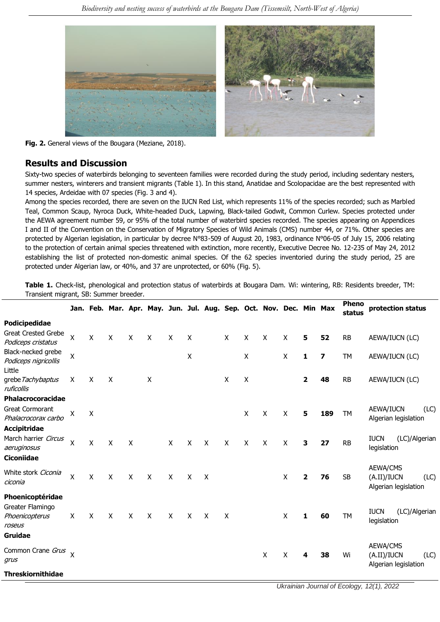

**Fig. 2.** General views of the Bougara (Meziane, 2018).

#### **Results and Discussion**

Sixty-two species of waterbirds belonging to seventeen families were recorded during the study period, including sedentary nesters, summer nesters, winterers and transient migrants (Table 1). In this stand, Anatidae and Scolopacidae are the best represented with 14 species, Ardeidae with 07 species (Fig. 3 and 4).

Among the species recorded, there are seven on the IUCN Red List, which represents 11% of the species recorded; such as Marbled Teal, Common Scaup, Nyroca Duck, White-headed Duck, Lapwing, Black-tailed Godwit, Common Curlew. Species protected under the AEWA agreement number 59, or 95% of the total number of waterbird species recorded. The species appearing on Appendices I and II of the Convention on the Conservation of Migratory Species of Wild Animals (CMS) number 44, or 71%. Other species are protected by Algerian legislation, in particular by decree N°83-509 of August 20, 1983, ordinance N°06-05 of July 15, 2006 relating to the protection of certain animal species threatened with extinction, more recently, Executive Decree No. 12-235 of May 24, 2012 establishing the list of protected non-domestic animal species. Of the 62 species inventoried during the study period, 25 are protected under Algerian law, or 40%, and 37 are unprotected, or 60% (Fig. 5).

**Table 1.** Check-list, phenological and protection status of waterbirds at Bougara Dam. Wi: wintering, RB: Residents breeder, TM: Transient migrant, SB: Summer breeder.

|                                                  |                           |                    |                           |                           | Jan. Feb. Mar. Apr. May. Jun. Jul. Aug. Sep. Oct. Nov. Dec. Min Max |              |              |                           |                           |                           |   |   |                         |                         | <b>Pheno</b><br>status | protection status                                              |
|--------------------------------------------------|---------------------------|--------------------|---------------------------|---------------------------|---------------------------------------------------------------------|--------------|--------------|---------------------------|---------------------------|---------------------------|---|---|-------------------------|-------------------------|------------------------|----------------------------------------------------------------|
| Podicipedidae                                    |                           |                    |                           |                           |                                                                     |              |              |                           |                           |                           |   |   |                         |                         |                        |                                                                |
| <b>Great Crested Grebe</b><br>Podiceps cristatus | $\pmb{\mathsf{X}}$        | $\pmb{\mathsf{X}}$ | $\boldsymbol{\mathsf{X}}$ | $\mathsf{X}$              | X                                                                   | $\mathsf{X}$ | X            |                           | X                         | X                         | X | X | 5                       | 52                      | <b>RB</b>              | AEWA/IUCN (LC)                                                 |
| Black-necked grebe<br>Podiceps nigricollis       | X                         |                    |                           |                           |                                                                     |              | X            |                           |                           | X                         |   | X | 1                       | $\overline{\mathbf{z}}$ | TМ                     | AEWA/IUCN (LC)                                                 |
| Little<br>grebe Tachybaptus<br>ruficollis        | X                         | X                  | $\boldsymbol{\mathsf{X}}$ |                           | X                                                                   |              |              |                           | $\boldsymbol{\mathsf{X}}$ | $\boldsymbol{\mathsf{X}}$ |   |   | $\overline{\mathbf{2}}$ | 48                      | <b>RB</b>              | AEWA/IUCN (LC)                                                 |
| Phalacrocoracidae                                |                           |                    |                           |                           |                                                                     |              |              |                           |                           |                           |   |   |                         |                         |                        |                                                                |
| <b>Great Cormorant</b><br>Phalacrocorax carbo    | Χ                         | $\pmb{\mathsf{X}}$ |                           |                           |                                                                     |              |              |                           |                           | X                         | X | X | 5                       | 189                     | TM                     | AEWA/IUCN<br>(LC)<br>Algerian legislation                      |
| <b>Accipitridae</b>                              |                           |                    |                           |                           |                                                                     |              |              |                           |                           |                           |   |   |                         |                         |                        |                                                                |
| March harrier Circus<br>aeruginosus              | X                         | $\mathsf{x}$       | $\mathsf{X}$              | $\boldsymbol{\mathsf{X}}$ |                                                                     | X            | X            | $\boldsymbol{\mathsf{X}}$ | $\mathsf{X}$              | X                         | X | X | 3                       | 27                      | <b>RB</b>              | <b>IUCN</b><br>(LC)/Algerian<br>legislation                    |
| <b>Ciconiidae</b>                                |                           |                    |                           |                           |                                                                     |              |              |                           |                           |                           |   |   |                         |                         |                        |                                                                |
| White stork Ciconia<br>ciconia                   | X                         | $\mathsf{X}$       | $\mathsf{X}$              | $\mathsf{X}$              | $\sf X$                                                             | $\mathsf{X}$ | X            | X                         |                           |                           |   | X | $\mathbf{2}$            | 76                      | <b>SB</b>              | AEWA/CMS<br>(A.II)/IUCN<br>(LC)<br>Algerian legislation        |
| Phoenicoptéridae                                 |                           |                    |                           |                           |                                                                     |              |              |                           |                           |                           |   |   |                         |                         |                        |                                                                |
| Greater Flamingo<br>Phoenicopterus<br>roseus     | X                         | X                  | $\boldsymbol{\mathsf{X}}$ | $\sf X$                   | $\mathsf{X}$                                                        | $\mathsf{X}$ | $\mathsf{X}$ | $\sf X$                   | $\boldsymbol{\mathsf{X}}$ |                           |   | X | 1                       | 60                      | <b>TM</b>              | <b>IUCN</b><br>(LC)/Algerian<br>legislation                    |
| <b>Gruidae</b>                                   |                           |                    |                           |                           |                                                                     |              |              |                           |                           |                           |   |   |                         |                         |                        |                                                                |
| Common Crane Grus<br>grus                        | $\boldsymbol{\mathsf{x}}$ |                    |                           |                           |                                                                     |              |              |                           |                           |                           | X | X | 4                       | 38                      | Wi                     | <b>AEWA/CMS</b><br>(A.II)/IUCN<br>(LC)<br>Algerian legislation |
| <b>Threskiornithidae</b>                         |                           |                    |                           |                           |                                                                     |              |              |                           |                           |                           |   |   |                         |                         |                        |                                                                |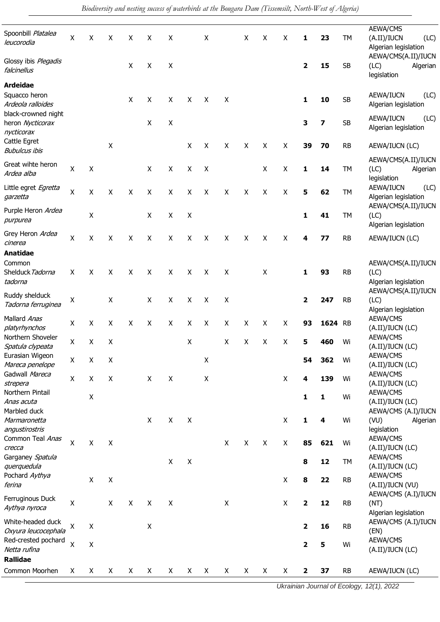| Spoonbill Platalea<br>leucorodia                      | X                  | X                  | X                  | X            | X | X                  |   | X                         |                           | X | X | Χ                  | 1              | 23      | <b>TM</b> | AEWA/CMS<br>(A.II)/IUCN<br>(LC)<br>Algerian legislation |
|-------------------------------------------------------|--------------------|--------------------|--------------------|--------------|---|--------------------|---|---------------------------|---------------------------|---|---|--------------------|----------------|---------|-----------|---------------------------------------------------------|
| Glossy ibis Plegadis<br>falcinellus                   |                    |                    |                    | X            | X | X                  |   |                           |                           |   |   |                    | $\mathbf{2}$   | 15      | <b>SB</b> | AEWA/CMS(A.II)/IUCN<br>(LC)<br>Algerian<br>legislation  |
| <b>Ardeidae</b><br>Squacco heron<br>Ardeola ralloides |                    |                    |                    | $\mathsf{X}$ | X | X                  | X | X                         | $\boldsymbol{\mathsf{X}}$ |   |   |                    | 1              | 10      | <b>SB</b> | (LC)<br>AEWA/IUCN<br>Algerian legislation               |
| black-crowned night<br>heron Nycticorax<br>nycticorax |                    |                    |                    |              | X | $\pmb{\mathsf{X}}$ |   |                           |                           |   |   |                    | 3              | 7       | <b>SB</b> | AEWA/IUCN<br>(LC)<br>Algerian legislation               |
| Cattle Egret<br><b>Bubulcus ibis</b>                  |                    |                    | $\pmb{\mathsf{X}}$ |              |   |                    | X | X                         | X                         | X | X | X                  | 39             | 70      | <b>RB</b> | AEWA/IUCN (LC)                                          |
| Great wihte heron<br>Ardea alba                       | $\mathsf X$        | X                  |                    |              | X | X                  | X | $\boldsymbol{\mathsf{X}}$ |                           |   | X | $\pmb{\mathsf{X}}$ | 1              | 14      | <b>TM</b> | AEWA/CMS(A.II)/IUCN<br>(LC)<br>Algerian<br>legislation  |
| Little egret Egretta<br>garzetta                      | X                  | X                  | X                  | X            | X | X                  | X | X                         | X                         | X | X | X                  | 5              | 62      | TM        | (LC)<br>AEWA/IUCN<br>Algerian legislation               |
| Purple Heron Ardea<br>purpurea                        |                    | $\pmb{\mathsf{X}}$ |                    |              | X | X                  | X |                           |                           |   |   |                    | $\mathbf{1}$   | 41      | <b>TM</b> | AEWA/CMS(A.II)/IUCN<br>(LC)<br>Algerian legislation     |
| Grey Heron Ardea<br>cinerea<br><b>Anatidae</b>        | X                  | X                  | X                  | X            | X | X                  | X | X                         | X                         | X | X | X                  | 4              | 77      | <b>RB</b> | AEWA/IUCN (LC)                                          |
| Common<br>Shelduck Tadorna<br>tadorna                 | X                  | X                  | X                  | X            | X | X                  | X | X                         | X                         |   | X |                    | 1              | 93      | <b>RB</b> | AEWA/CMS(A.II)/IUCN<br>(LC)<br>Algerian legislation     |
| Ruddy shelduck<br>Tadorna ferruginea                  | X                  |                    | Χ                  |              | X | X                  | X | X                         | X                         |   |   |                    | $\overline{2}$ | 247     | <b>RB</b> | AEWA/CMS(A.II)/IUCN<br>(LC)<br>Algerian legislation     |
| Mallard Anas<br>platyrhynchos                         | X                  | X                  | X                  | X            | X | X                  | X | $\boldsymbol{\mathsf{X}}$ | X                         | X | X | Χ                  | 93             | 1624 RB |           | AEWA/CMS<br>(A.II)/IUCN (LC)                            |
| Northern Shoveler<br>Spatula clypeata                 | X                  | X                  | $\mathsf{X}$       |              |   |                    | X |                           | $\pmb{\mathsf{X}}$        | X | X | X                  | 5              | 460     | Wi        | AEWA/CMS<br>(A.II)/IUCN (LC)                            |
| Eurasian Wigeon<br>Mareca penelope                    | X                  | $\pmb{\mathsf{X}}$ | $\pmb{\mathsf{X}}$ |              |   |                    |   | $\pmb{\times}$            |                           |   |   |                    | 54             | 362     | Wi        | AEWA/CMS<br>(A.II)/IUCN (LC)                            |
| Gadwall Mareca<br>strepera                            | X                  | X                  | $\pmb{\mathsf{X}}$ |              | X | X                  |   | X                         |                           |   |   | Χ                  | 4              | 139     | Wi        | AEWA/CMS<br>(A.II)/IUCN (LC)                            |
| Northern Pintail<br>Anas acuta                        |                    | $\pmb{\mathsf{X}}$ |                    |              |   |                    |   |                           |                           |   |   |                    | $\mathbf{1}$   | 1       | Wi        | AEWA/CMS<br>(A.II)/IUCN (LC)                            |
| Marbled duck<br>Marmaronetta<br>angustirostris        |                    |                    |                    |              | X | X                  | X |                           |                           |   |   | X                  | $\mathbf{1}$   | 4       | Wi        | AEWA/CMS (A.I)/IUCN<br>(VU)<br>Algerian<br>legislation  |
| Common Teal Anas<br>crecca                            | X                  | X                  | $\mathsf{X}$       |              |   |                    |   |                           | $\boldsymbol{\mathsf{X}}$ | X | X | X                  | 85             | 621     | Wi        | AEWA/CMS<br>(A.II)/IUCN (LC)<br>AEWA/CMS                |
| Garganey Spatula<br>querquedula<br>Pochard Aythya     |                    |                    |                    |              |   | $\pmb{\mathsf{X}}$ | X |                           |                           |   |   |                    | 8              | 12      | TM        | (A.II)/IUCN (LC)<br>AEWA/CMS                            |
| ferina                                                |                    | X                  | $\pmb{\mathsf{X}}$ |              |   |                    |   |                           |                           |   |   | X                  | 8              | 22      | <b>RB</b> | (A.II)/IUCN (VU)                                        |
| Ferruginous Duck<br>Aythya nyroca                     | $\pmb{\mathsf{X}}$ |                    | $\pmb{\times}$     | X            | X | X                  |   |                           | X                         |   |   | Χ                  | $\mathbf{2}$   | 12      | <b>RB</b> | AEWA/CMS (A.I)/IUCN<br>(NT)<br>Algerian legislation     |
| White-headed duck<br>Oxyura leucocephala              | X                  | X                  |                    |              | X |                    |   |                           |                           |   |   |                    | $\mathbf{2}$   | 16      | <b>RB</b> | AEWA/CMS (A.I)/IUCN<br>(EN)                             |
| Red-crested pochard<br>Netta rufina                   | $\mathsf{x}$       | $\pmb{\mathsf{X}}$ |                    |              |   |                    |   |                           |                           |   |   |                    | $\mathbf{2}$   | 5       | Wi        | AEWA/CMS<br>(A.II)/IUCN (LC)                            |
| <b>Rallidae</b>                                       |                    |                    |                    |              |   |                    |   |                           |                           |   |   |                    |                |         |           |                                                         |
| Common Moorhen                                        | X                  | X                  | X                  | X            | X | X                  | X | X                         | X                         | X | X | X                  | $\mathbf{2}$   | 37      | <b>RB</b> | AEWA/IUCN (LC)                                          |

*Ukrainian Journal of Ecology, 12(1), 2022*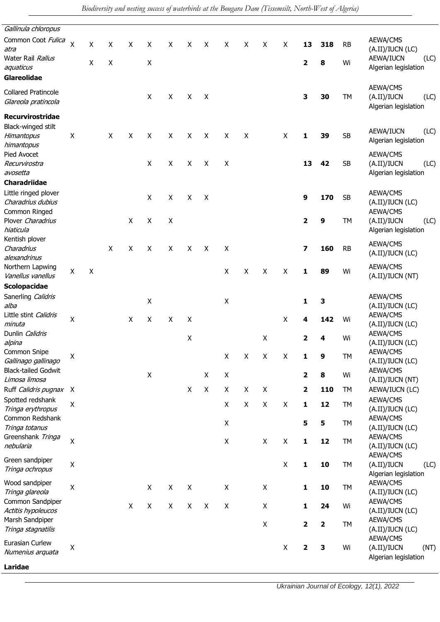| Gallinula chloropus                                        |                    |         |                    |   |   |                    |                    |              |                    |   |                    |                    |              |     |           |                                                         |
|------------------------------------------------------------|--------------------|---------|--------------------|---|---|--------------------|--------------------|--------------|--------------------|---|--------------------|--------------------|--------------|-----|-----------|---------------------------------------------------------|
| Common Coot Fulica<br>atra                                 | $\mathsf{X}$       | X       | X                  | X | X | X                  | X                  | X            | X                  | X | X                  | X                  | 13           | 318 | <b>RB</b> | AEWA/CMS<br>(A.II)/IUCN (LC)                            |
| Water Rail <i>Rallus</i><br>aquaticus                      |                    | X       | $\pmb{\mathsf{X}}$ |   | X |                    |                    |              |                    |   |                    |                    | 2            | 8   | Wi        | AEWA/IUCN<br>(LC)<br>Algerian legislation               |
| Glareolidae                                                |                    |         |                    |   |   |                    |                    |              |                    |   |                    |                    |              |     |           |                                                         |
| <b>Collared Pratincole</b><br>Glareola pratincola          |                    |         |                    |   | X | X                  | X                  | X            |                    |   |                    |                    | 3            | 30  | TM        | AEWA/CMS<br>(A.II)/IUCN<br>(LC)<br>Algerian legislation |
| Recurvirostridae                                           |                    |         |                    |   |   |                    |                    |              |                    |   |                    |                    |              |     |           |                                                         |
| Black-winged stilt<br>Himantopus<br>himantopus             | X                  |         | X                  | X | X | X                  | X                  | X            | X                  | x |                    | X                  | 1            | 39  | <b>SB</b> | AEWA/IUCN<br>(LC)<br>Algerian legislation               |
| Pied Avocet<br>Recurvirostra<br>avosetta                   |                    |         |                    |   | X | X                  | X                  | X            | X                  |   |                    |                    | 13           | 42  | <b>SB</b> | AEWA/CMS<br>(A.II)/IUCN<br>(LC)<br>Algerian legislation |
| Charadriidae                                               |                    |         |                    |   |   |                    |                    |              |                    |   |                    |                    |              |     |           |                                                         |
| Little ringed plover<br>Charadrius dubius<br>Common Ringed |                    |         |                    |   | X | $\mathsf{X}$       | $\mathsf{X}$       | X            |                    |   |                    |                    | 9            | 170 | <b>SB</b> | AEWA/CMS<br>(A.II)/IUCN (LC)<br>AEWA/CMS                |
| Plover Charadrius<br>hiaticula                             |                    |         |                    | X | X | $\mathsf{X}$       |                    |              |                    |   |                    |                    | $\mathbf{2}$ | 9   | TM        | (A.II)/IUCN<br>(LC)<br>Algerian legislation             |
| Kentish plover<br>Charadrius<br>alexandrinus               |                    |         | X                  | X | X | X                  | X                  | $\mathsf{X}$ | X                  |   |                    |                    | 7            | 160 | <b>RB</b> | AEWA/CMS<br>(A.II)/IUCN (LC)                            |
| Northern Lapwing<br>Vanellus vanellus                      | X                  | $\sf X$ |                    |   |   |                    |                    |              | X                  | X | X                  | X                  | 1            | 89  | Wi        | AEWA/CMS<br>(A.II)/IUCN (NT)                            |
| <b>Scolopacidae</b>                                        |                    |         |                    |   |   |                    |                    |              |                    |   |                    |                    |              |     |           |                                                         |
| Sanerling Calidris<br>alba                                 |                    |         |                    |   | X |                    |                    |              | $\pmb{\mathsf{X}}$ |   |                    |                    | 1            | з   |           | AEWA/CMS<br>(A.II)/IUCN (LC)                            |
| Little stint <i>Calidris</i><br>minuta                     | $\pmb{\mathsf{X}}$ |         |                    | X | X | X                  | X                  |              |                    |   |                    | X                  | 4            | 142 | Wi        | AEWA/CMS<br>(A.II)/IUCN (LC)                            |
| Dunlin <i>Calidris</i><br>alpina                           |                    |         |                    |   |   |                    | X                  |              |                    |   | X                  |                    | 2            | 4   | Wi        | AEWA/CMS<br>(A.II)/IUCN (LC)                            |
| Common Snipe<br>Gallinago gallinago                        | $\mathsf X$        |         |                    |   |   |                    |                    |              | Χ                  | Χ | $\pmb{\mathsf{X}}$ | Χ                  | ı            | 9   | TM        | AEWA/CMS<br>(A.II)/IUCN (LC)                            |
| <b>Black-tailed Godwit</b><br>Limosa limosa                |                    |         |                    |   | X |                    |                    | X            | $\pmb{\mathsf{X}}$ |   |                    |                    | 2            | 8   | Wi        | AEWA/CMS<br>(A.II)/IUCN (NT)                            |
| Ruff <i>Calidris pugnax</i> X                              |                    |         |                    |   |   |                    | $\mathsf{X}$       | X            | X                  | X | X                  |                    | $\mathbf{2}$ | 110 | TM        | AEWA/IUCN (LC)                                          |
| Spotted redshank<br>Tringa erythropus                      | Χ                  |         |                    |   |   |                    |                    |              | X                  | X | X                  | $\pmb{\times}$     | $\mathbf{1}$ | 12  | TM        | AEWA/CMS<br>(A.II)/IUCN (LC)                            |
| Common Redshank<br>Tringa totanus                          |                    |         |                    |   |   |                    |                    |              | $\pmb{\mathsf{X}}$ |   |                    |                    | 5            | 5   | TM        | AEWA/CMS<br>(A.II)/IUCN (LC)                            |
| Greenshank Tringa<br>nebularia                             | Χ                  |         |                    |   |   |                    |                    |              | $\pmb{\mathsf{X}}$ |   | $\pmb{\times}$     | $\mathsf X$        | $\mathbf{1}$ | 12  | TM        | AEWA/CMS<br>(A.II)/IUCN (LC)<br>AEWA/CMS                |
| Green sandpiper<br>Tringa ochropus                         | Χ                  |         |                    |   |   |                    |                    |              |                    |   |                    | $\pmb{\mathsf{X}}$ | $\mathbf{1}$ | 10  | TM        | (A.II)/IUCN<br>(LC)<br>Algerian legislation             |
| Wood sandpiper<br>Tringa glareola                          | $\pmb{\mathsf{X}}$ |         |                    |   | X | $\pmb{\mathsf{X}}$ | $\pmb{\mathsf{X}}$ |              | $\pmb{\mathsf{X}}$ |   | X                  |                    | $\mathbf{1}$ | 10  | TM        | AEWA/CMS<br>(A.II)/IUCN (LC)                            |
| Common Sandpiper<br>Actitis hypoleucos                     |                    |         |                    | X | X | X                  | $\mathsf{X}$       | X            | $\pmb{\mathsf{X}}$ |   | $\pmb{\mathsf{X}}$ |                    | 1            | 24  | Wi        | AEWA/CMS<br>(A.II)/IUCN (LC)                            |
| Marsh Sandpiper<br>Tringa stagnatilis                      |                    |         |                    |   |   |                    |                    |              |                    |   | $\mathsf X$        |                    | $\mathbf 2$  | 2   | TM        | AEWA/CMS<br>(A.II)/IUCN (LC)                            |
| Eurasian Curlew<br>Numenius arquata                        | Χ                  |         |                    |   |   |                    |                    |              |                    |   |                    | $\mathsf X$        | 2            | 3   | Wi        | AEWA/CMS<br>(A.II)/IUCN<br>(NT)<br>Algerian legislation |
| Laridae                                                    |                    |         |                    |   |   |                    |                    |              |                    |   |                    |                    |              |     |           |                                                         |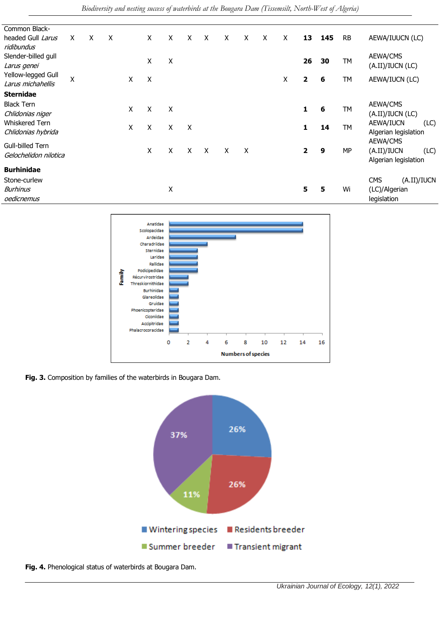| Common Black-         |   |   |   |   |   |   |   |         |   |                           |   |   |              |               |           |                           |
|-----------------------|---|---|---|---|---|---|---|---------|---|---------------------------|---|---|--------------|---------------|-----------|---------------------------|
| headed Gull Larus     | X | X | X |   | X | X | X | X       | X | X                         | X | X | 13           | 145           | <b>RB</b> | AEWA/IUUCN (LC)           |
| ridibundus            |   |   |   |   |   |   |   |         |   |                           |   |   |              |               |           |                           |
| Slender-billed gull   |   |   |   |   | X | Χ |   |         |   |                           |   |   | 26           | 30            | TM        | AEWA/CMS                  |
| Larus genei           |   |   |   |   |   |   |   |         |   |                           |   |   |              |               |           | (A.II)/IUCN (LC)          |
| Yellow-legged Gull    | Χ |   |   | X | Χ |   |   |         |   |                           |   | Χ | $\mathbf{2}$ | 6             | TМ        | AEWA/IUCN (LC)            |
| Larus michahellis     |   |   |   |   |   |   |   |         |   |                           |   |   |              |               |           |                           |
| <b>Sternidae</b>      |   |   |   |   |   |   |   |         |   |                           |   |   |              |               |           |                           |
| <b>Black Tern</b>     |   |   |   |   |   |   |   |         |   |                           |   |   |              |               |           | AEWA/CMS                  |
| Chlidonias niger      |   |   |   | X | Χ | X |   |         |   |                           |   |   | 1            | 6             | TM        | (A.II)/IUCN (LC)          |
| <b>Whiskered Tern</b> |   |   |   |   |   |   |   |         |   |                           |   |   |              |               |           | AEWA/IUCN<br>(LC)         |
| Chlidonias hybrida    |   |   |   | X | X | X | X |         |   |                           |   |   | 1.           | 14            | TM        | Algerian legislation      |
|                       |   |   |   |   |   |   |   |         |   |                           |   |   |              |               |           | AEWA/CMS                  |
| Gull-billed Tern      |   |   |   |   | X | X | X | $\sf X$ | X | $\boldsymbol{\mathsf{X}}$ |   |   | $\mathbf{2}$ | 9             | MP        | (A.II)/IUCN<br>(LC)       |
| Gelochelidon nilotica |   |   |   |   |   |   |   |         |   |                           |   |   |              |               |           | Algerian legislation      |
| <b>Burhinidae</b>     |   |   |   |   |   |   |   |         |   |                           |   |   |              |               |           |                           |
| Stone-curlew          |   |   |   |   |   |   |   |         |   |                           |   |   |              |               |           | (A.II)/IUCN<br><b>CMS</b> |
| <b>Burhinus</b>       |   |   |   | Χ |   |   |   |         |   |                           | 5 | 5 | Wi           | (LC)/Algerian |           |                           |
| oedicnemus            |   |   |   |   |   |   |   |         |   |                           |   |   |              |               |           | legislation               |



**Fig. 3.** Composition by families of the waterbirds in Bougara Dam.



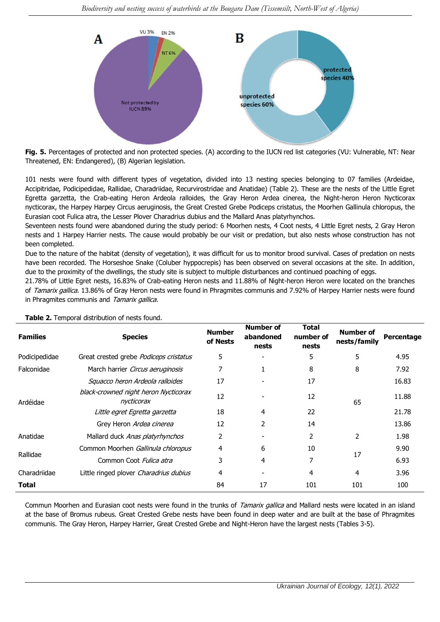

**Fig. 5.** Percentages of protected and non protected species. (A) according to the IUCN red list categories (VU: Vulnerable, NT: Near Threatened, EN: Endangered), (B) Algerian legislation.

101 nests were found with different types of vegetation, divided into 13 nesting species belonging to 07 families (Ardeidae, Accipitridae, Podicipedidae, Rallidae, Charadriidae, Recurvirostridae and Anatidae) (Table 2). These are the nests of the Little Egret Egretta garzetta, the Crab-eating Heron Ardeola ralloides, the Gray Heron Ardea cinerea, the Night-heron Heron Nycticorax nycticorax, the Harpey Harpey Circus aeruginosis, the Great Crested Grebe Podiceps cristatus, the Moorhen Gallinula chloropus, the Eurasian coot Fulica atra, the Lesser Plover Charadrius dubius and the Mallard Anas platyrhynchos.

Seventeen nests found were abandoned during the study period: 6 Moorhen nests, 4 Coot nests, 4 Little Egret nests, 2 Gray Heron nests and 1 Harpey Harrier nests. The cause would probably be our visit or predation, but also nests whose construction has not been completed.

Due to the nature of the habitat (density of vegetation), it was difficult for us to monitor brood survival. Cases of predation on nests have been recorded. The Horseshoe Snake (Coluber hyppocrepis) has been observed on several occasions at the site. In addition, due to the proximity of the dwellings, the study site is subject to multiple disturbances and continued poaching of eggs.

21.78% of Little Egret nests, 16.83% of Crab-eating Heron nests and 11.88% of Night-heron Heron were located on the branches of Tamarix gallica. 13.86% of Gray Heron nests were found in Phragmites communis and 7.92% of Harpey Harrier nests were found in Phragmites communis and Tamarix gallica.

| <b>Families</b> | <b>Species</b>                                     | <b>Number</b><br>of Nests | <b>Number of</b><br>abandoned<br>nests | <b>Total</b><br>number of<br>nests | <b>Number of</b><br>nests/family | Percentage |  |
|-----------------|----------------------------------------------------|---------------------------|----------------------------------------|------------------------------------|----------------------------------|------------|--|
| Podicipedidae   | Great crested grebe Podiceps cristatus             | 5                         |                                        | 5                                  | 5                                | 4.95       |  |
| Falconidae      | March harrier Circus aeruginosis                   | 7                         | 1                                      | 8                                  | 8                                | 7.92       |  |
|                 | Squacco heron Ardeola ralloides                    | 17                        |                                        | 17                                 |                                  | 16.83      |  |
| Ardéidae        | black-crowned night heron Nycticorax<br>nycticorax | 12                        |                                        | 12                                 | 65                               | 11.88      |  |
|                 | Little egret Egretta garzetta                      | 18                        | 4                                      | 22                                 |                                  | 21.78      |  |
|                 | Grey Heron Ardea cinerea                           | 12                        | $\overline{2}$                         | 14                                 |                                  | 13.86      |  |
| Anatidae        | Mallard duck Anas platyrhynchos                    | 2                         |                                        | 2                                  | 2                                | 1.98       |  |
|                 | Common Moorhen Gallinula chloropus                 | 4                         | 6                                      | 10                                 |                                  | 9.90       |  |
| Rallidae        | Common Coot Fulica atra                            | 3                         | 4                                      | 7                                  | 17                               | 6.93       |  |
| Charadriidae    | Little ringed plover Charadrius dubius             | 4                         |                                        | 4                                  | 4                                | 3.96       |  |
| Total           |                                                    | 84                        | 17                                     | 101                                | 101                              | 100        |  |

**Table 2.** Temporal distribution of nests found.

Commun Moorhen and Eurasian coot nests were found in the trunks of Tamarix gallica and Mallard nests were located in an island at the base of Bromus rubeus. Great Crested Grebe nests have been found in deep water and are built at the base of Phragmites communis. The Gray Heron, Harpey Harrier, Great Crested Grebe and Night-Heron have the largest nests (Tables 3-5).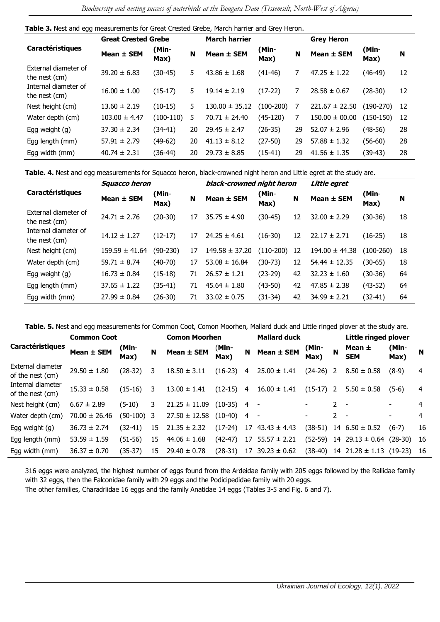| Table 3. Nest and egg measurements for Great Crested Grebe, March harrier and Grey Heron. |  |  |
|-------------------------------------------------------------------------------------------|--|--|
|-------------------------------------------------------------------------------------------|--|--|

|                                       | <b>Great Crested Grebe</b> |                    |    | <b>March harrier</b> |               | <b>Grey Heron</b> |                    |               |     |
|---------------------------------------|----------------------------|--------------------|----|----------------------|---------------|-------------------|--------------------|---------------|-----|
| Caractéristiques                      | Mean ± SEM                 | (Min-<br>N<br>Max) |    | Mean ± SEM           | (Min-<br>Max) | N                 | Mean ± SEM         | (Min-<br>Max) | N   |
| External diameter of<br>the nest (cm) | $39.20 \pm 6.83$           | $(30-45)$          | 5. | $43.86 \pm 1.68$     | $(41-46)$     |                   | $47.25 \pm 1.22$   | (46-49)       | 12  |
| Internal diameter of<br>the nest (cm) | $16.00 \pm 1.00$           | $(15-17)$          | 5. | $19.14 \pm 2.19$     | $(17-22)$     | 7                 | $28.58 \pm 0.67$   | (28-30)       | 12  |
| Nest height (cm)                      | $13.60 \pm 2.19$           | $(10-15)$          | 5. | $130.00 \pm 35.12$   | $(100-200)$   |                   | $221.67 \pm 22.50$ | $(190-270)$   | -12 |
| Water depth (cm)                      | $103.00 \pm 4.47$          | $(100-110)$        | 5  | $70.71 \pm 24.40$    | (45-120)      | 7                 | $150.00 \pm 00.00$ | (150-150)     | 12  |
| Egg weight (g)                        | $37.30 \pm 2.34$           | $(34-41)$          | 20 | $29.45 \pm 2.47$     | $(26-35)$     | 29                | $52.07 \pm 2.96$   | (48-56)       | 28  |
| Egg length (mm)                       | $57.91 \pm 2.79$           | $(49-62)$          | 20 | $41.13 \pm 8.12$     | $(27-50)$     | 29                | $57.88 \pm 1.32$   | (56-60)       | 28  |
| Egg width (mm)                        | $40.74 \pm 2.31$           | $(36-44)$          | 20 | $29.73 \pm 8.85$     | $(15-41)$     | 29                | $41.56 \pm 1.35$   | (39-43)       | 28  |

**Table. 4.** Nest and egg measurements for Squacco heron, black-crowned night heron and Little egret at the study are.

|                                       | <b>Squacco heron</b> |                    |    | black-crowned night heron |               |    | Little egret       |               |    |  |  |
|---------------------------------------|----------------------|--------------------|----|---------------------------|---------------|----|--------------------|---------------|----|--|--|
| <b>Caractéristiques</b>               | Mean ± SEM           | (Min-<br>N<br>Max) |    | Mean ± SEM                | (Min-<br>Max) | N  | Mean ± SEM         | (Min-<br>Max) | N  |  |  |
| External diameter of<br>the nest (cm) | $24.71 \pm 2.76$     | $(20-30)$          | 17 | $35.75 \pm 4.90$          | (30-45)       | 12 | $32.00 \pm 2.29$   | (30-36)       | 18 |  |  |
| Internal diameter of<br>the nest (cm) | $14.12 \pm 1.27$     | $(12-17)$          | 17 | $24.25 \pm 4.61$          | $(16-30)$     | 12 | $22.17 \pm 2.71$   | $(16-25)$     | 18 |  |  |
| Nest height (cm)                      | $159.59 \pm 41.64$   | $(90-230)$         | 17 | $149.58 \pm 37.20$        | $(110-200)$   | 12 | $194.00 \pm 44.38$ | $(100-260)$   | 18 |  |  |
| Water depth (cm)                      | $59.71 \pm 8.74$     | $(40-70)$          | 17 | $53.08 \pm 16.84$         | (30-73)       | 12 | $54.44 \pm 12.35$  | (30-65)       | 18 |  |  |
| Egg weight (g)                        | $16.73 \pm 0.84$     | $(15-18)$          | 71 | $26.57 \pm 1.21$          | $(23-29)$     | 42 | $32.23 \pm 1.60$   | $(30-36)$     | 64 |  |  |
| Egg length (mm)                       | $37.65 \pm 1.22$     | $(35-41)$          | 71 | $45.64 \pm 1.80$          | $(43-50)$     | 42 | $47.85 \pm 2.38$   | $(43-52)$     | 64 |  |  |
| Egg width (mm)                        | $27.99 \pm 0.84$     | $(26-30)$          | 71 | $33.02 \pm 0.75$          | (31-34)       | 42 | $34.99 \pm 2.21$   | (32-41)       | 64 |  |  |

**Table. 5.** Nest and egg measurements for Common Coot, Comon Moorhen, Mallard duck and Little ringed plover at the study are.

|                                       | <b>Common Coot</b> |                    | <b>Comon Moorhen</b> |                   | <b>Mallard duck</b> |    | Little ringed plover     |                    |                |                               |               |     |
|---------------------------------------|--------------------|--------------------|----------------------|-------------------|---------------------|----|--------------------------|--------------------|----------------|-------------------------------|---------------|-----|
| <b>Caractéristiques</b>               | Mean ± SEM         | (Min-<br>N<br>Max) |                      | Mean ± SEM        | (Min-<br>Max)       | N  | Mean $\pm$ SEM           | (Min-<br>N<br>Max) |                | Mean ±<br><b>SEM</b>          | (Min-<br>Max) | N   |
| External diameter<br>of the nest (cm) | $29.50 \pm 1.80$   | (28-32)            | 3                    | $18.50 \pm 3.11$  | $(16-23)$           | 4  | $25.00 \pm 1.41$         | $(24-26)$ 2        |                | $8.50 \pm 0.58$               | $(8-9)$       | 4   |
| Internal diameter<br>of the nest (cm) | $15.33 \pm 0.58$   | (15-16)            | 3                    | $13.00 \pm 1.41$  | $(12-15)$           | 4  | $16.00 \pm 1.41$         | $(15-17)$          | $\overline{2}$ | $5.50 \pm 0.58$               | $(5-6)$       | 4   |
| Nest height (cm)                      | $6.67 \pm 2.89$    | $(5-10)$           | 3.                   | $21.25 \pm 11.09$ | $(10-35)$           | 4  | $\overline{\phantom{a}}$ |                    | $2^{\circ}$    | $\overline{\phantom{0}}$      |               | 4   |
| Water depth (cm)                      | $70.00 \pm 26.46$  | (50-100)           | -3                   | $27.50 \pm 12.58$ | $(10-40)$           | 4  | $\overline{\phantom{a}}$ |                    | $\mathbf{2}$   |                               |               | 4   |
| Egg weight $(g)$                      | $36.73 \pm 2.74$   | (32-41)            | 15                   | $21.35 \pm 2.32$  | $(17-24)$           | 17 | $43.43 \pm 4.43$         | (38-51)            | 14             | $6.50 \pm 0.52$               | $(6-7)$       | 16  |
| Egg length (mm)                       | $53.59 \pm 1.59$   | $(51-56)$          | 15                   | $44.06 \pm 1.68$  | $(42-47)$           | 17 | $55.57 \pm 2.21$         | $(52-59)$          |                | $14$ 29.13 $\pm$ 0.64         | $(28-30)$     | -16 |
| Egg width (mm)                        | $36.37 \pm 0.70$   | (35-37)            | 15                   | $29.40 \pm 0.78$  | $(28-31)$           | 17 | $39.23 \pm 0.62$         |                    |                | $(38-40)$ 14 21.28 $\pm$ 1.13 | $(19-23)$     | -16 |

316 eggs were analyzed, the highest number of eggs found from the Ardeidae family with 205 eggs followed by the Rallidae family with 32 eggs, then the Falconidae family with 29 eggs and the Podicipedidae family with 20 eggs.

The other families, Charadriidae 16 eggs and the family Anatidae 14 eggs (Tables 3-5 and Fig. 6 and 7).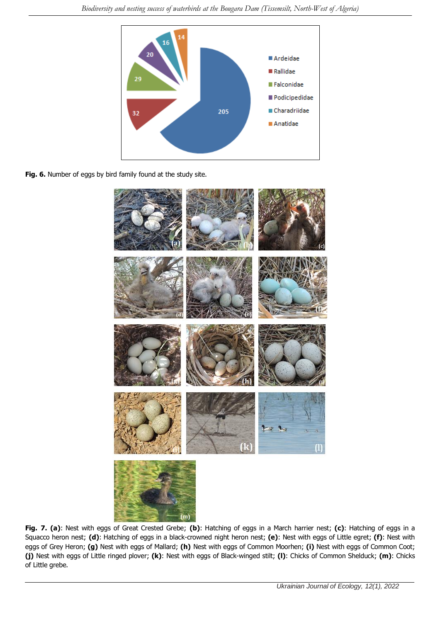

**Fig. 6.** Number of eggs by bird family found at the study site.



**Fig. 7. (a)**: Nest with eggs of Great Crested Grebe; **(b)**: Hatching of eggs in a March harrier nest; **(c)**: Hatching of eggs in a Squacco heron nest; **(d)**: Hatching of eggs in a black-crowned night heron nest; **(e)**: Nest with eggs of Little egret; **(f)**: Nest with eggs of Grey Heron; **(g)** Nest with eggs of Mallard; **(h)** Nest with eggs of Common Moorhen; **(i)** Nest with eggs of Common Coot; **(j)** Nest with eggs of Little ringed plover; **(k)**: Nest with eggs of Black-winged stilt; **(l)**: Chicks of Common Shelduck; **(m)**: Chicks of Little grebe.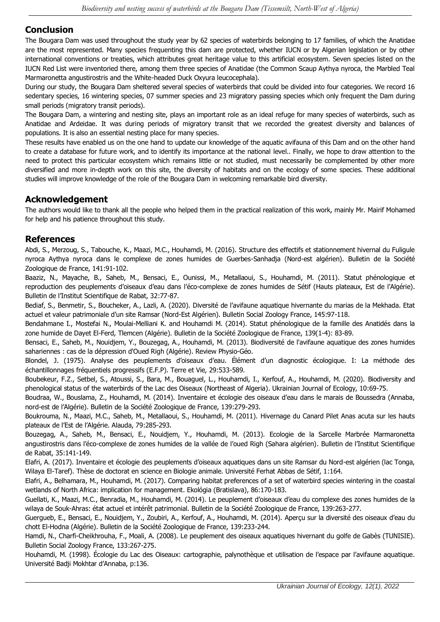### **Conclusion**

The Bougara Dam was used throughout the study year by 62 species of waterbirds belonging to 17 families, of which the Anatidae are the most represented. Many species frequenting this dam are protected, whether IUCN or by Algerian legislation or by other international conventions or treaties, which attributes great heritage value to this artificial ecosystem. Seven species listed on the IUCN Red List were inventoried there, among them three species of Anatidae (the Common Scaup Aythya nyroca, the Marbled Teal Marmaronetta angustirostris and the White-headed Duck Oxyura leucocephala).

During our study, the Bougara Dam sheltered several species of waterbirds that could be divided into four categories. We record 16 sedentary species, 16 wintering species, 07 summer species and 23 migratory passing species which only frequent the Dam during small periods (migratory transit periods).

The Bougara Dam, a wintering and nesting site, plays an important role as an ideal refuge for many species of waterbirds, such as Anatidae and Ardeidae. It was during periods of migratory transit that we recorded the greatest diversity and balances of populations. It is also an essential nesting place for many species.

These results have enabled us on the one hand to update our knowledge of the aquatic avifauna of this Dam and on the other hand to create a database for future work, and to identify its importance at the national level.. Finally, we hope to draw attention to the need to protect this particular ecosystem which remains little or not studied, must necessarily be complemented by other more diversified and more in-depth work on this site, the diversity of habitats and on the ecology of some species. These additional studies will improve knowledge of the role of the Bougara Dam in welcoming remarkable bird diversity.

#### **Acknowledgement**

The authors would like to thank all the people who helped them in the practical realization of this work, mainly Mr. Mairif Mohamed for help and his patience throughout this study.

#### **References**

Abdi, S., Merzoug, S., Tabouche, K., Maazi, M.C., Houhamdi, M. (2016). [Structure des effectifs et stationnement hivernal du Fuligule](https://www.researchgate.net/profile/Mohamed-Cherif-Maazi/publication/331974028_STRUCTURE_DES_EFFECTIFS_ET_STATIONNEMENT_HIVERNAL_DU_FULIGULE_NYROCA_AYTHYA_NYROCA_DANS_LE_COMPLEXE_DES_ZONES_HUMIDES_DE_GUERBES-SANHADJA_NORD-EST_ALGERIEN/links/5c974222a6fdccd4603676af/STRUCTURE-DES-EFFECTIFS-ET-STATIONNEMENT-HIVERNAL-DU-FULIGULE-NYROCA-AYTHYA-NYROCA-DANS-LE-COMPLEXE-DES-ZONES-HUMIDES-DE-GUERBES-SANHADJA-NORD-EST-ALGERIEN.pdf)  [nyroca Aythya nyroca dans le complexe de zones humides de Guerbes-Sanhadja \(Nord-est algérien\).](https://www.researchgate.net/profile/Mohamed-Cherif-Maazi/publication/331974028_STRUCTURE_DES_EFFECTIFS_ET_STATIONNEMENT_HIVERNAL_DU_FULIGULE_NYROCA_AYTHYA_NYROCA_DANS_LE_COMPLEXE_DES_ZONES_HUMIDES_DE_GUERBES-SANHADJA_NORD-EST_ALGERIEN/links/5c974222a6fdccd4603676af/STRUCTURE-DES-EFFECTIFS-ET-STATIONNEMENT-HIVERNAL-DU-FULIGULE-NYROCA-AYTHYA-NYROCA-DANS-LE-COMPLEXE-DES-ZONES-HUMIDES-DE-GUERBES-SANHADJA-NORD-EST-ALGERIEN.pdf) Bulletin de la Société Zoologique de France, 141:91-102.

Baaziz, N., Mayache, B., Saheb, M., Bensaci, E., Ounissi, M., Metallaoui, S., Houhamdi, M. (2011). [Statut phénologique et](https://www.researchgate.net/profile/Ettayib-Bensaci/publication/264849693_Statut_phenologique_et_reproduction_des_peuplements_d%27oiseaux_d%27eau_dans_l%27eco-complexe_de_zones_humides_de_Setif_Hauts_plateaux_Est_de_l%27Algerie/links/548155570cf22525dcb60a54/Statut-phenologique-et-reproduction-des-peuplements-doiseaux-deau-dans-leco-complexe-de-zones-humides-de-Setif-Hauts-plateaux-Est-de-lAlgerie.pdf)  [reproduction des peuplements d'oiseaux d'eau dans l'éco](https://www.researchgate.net/profile/Ettayib-Bensaci/publication/264849693_Statut_phenologique_et_reproduction_des_peuplements_d%27oiseaux_d%27eau_dans_l%27eco-complexe_de_zones_humides_de_Setif_Hauts_plateaux_Est_de_l%27Algerie/links/548155570cf22525dcb60a54/Statut-phenologique-et-reproduction-des-peuplements-doiseaux-deau-dans-leco-complexe-de-zones-humides-de-Setif-Hauts-plateaux-Est-de-lAlgerie.pdf)-complexe de zones humides de Sétif (Hauts plateaux, Est de l'Algérie). Bulletin de l'Institut Scientifique de Rabat, 32:77-87.

Bediaf, S., Benmetir, S., Boucheker, A., Lazli, A. (2020). [Diversité de l'avifaune aquatique hivernante du marias de la Mekhada. Etat](https://societe-zoologique.fr/sites/default/files/revue/2020-04/SZF145(2)BEDIAF4.pdf)  [actuel et valeur patrimoniale d'un site Ramsar \(Nord](https://societe-zoologique.fr/sites/default/files/revue/2020-04/SZF145(2)BEDIAF4.pdf)-Est Algérien). Bulletin Social Zoology France, 145:97-118.

Bendahmane I., Mostefai N., Moulai-Melliani K. and Houhamdi M. (2014). [Statut phénologique de la famille des Anatidés dans la](https://societe-zoologique.fr/sites/default/files/revue/2017-10/Z139Bendahmane.pdf)  [zone humide de Dayet El-Ferd, Tlemcen \(Algérie\).](https://societe-zoologique.fr/sites/default/files/revue/2017-10/Z139Bendahmane.pdf) Bulletin de la Société Zoologique de France, 139(1-4): 83-89.

Bensaci, E., Saheb, M., Nouidjem, Y., Bouzegag, A., Houhamdi, M. (2013). [Biodiversité de l'avifaune aquatique des zones humides](https://journals.openedition.org/physio-geo/3198)  [sahariennes : cas de la dépression d'Oued Righ \(Algérie\).](https://journals.openedition.org/physio-geo/3198) Review Physio-Géo.

Blondel, J. (1975). Analyse des peuplements d'oiseaux d'eau. Élément d'un diagnostic écologique. I: La méthode des échantillonnages fréquentiels progressifs (E.F.P). Terre et Vie, 29:533-589.

Boubekeur, F.Z., Setbel, S., Atoussi, S., Bara, M., Bouaguel, L., Houhamdi, I., Kerfouf, A., Houhamdi, M. (2020). [Biodiversity and](https://www.ujecology.com/abstract/biodiversity-and-phenological-status-of-the-waterbirds-of-the-lac-des-oiseaux-northeast-of-algeria-58882.html)  [phenological status of the waterbirds of the Lac des Oiseaux \(Northeast of Algeria\).](https://www.ujecology.com/abstract/biodiversity-and-phenological-status-of-the-waterbirds-of-the-lac-des-oiseaux-northeast-of-algeria-58882.html) Ukrainian Journal of Ecology, 10:69-75.

Boudraa, W., Bouslama, Z., Houhamdi, M. (2014). Inventaire et écologie des oiseaux [d'eau dans le marais de Boussedra \(Annaba,](https://www.researchgate.net/profile/Moussa-Houhamdi/publication/289849404_Waterbird_inventory_and_monitoring_surveys_of_Boussedra_Marsh_Annaba_Northeast_Algeria/links/5727a77308aee491cb414aba/Waterbird-inventory-and-monitoring-surveys-of-Boussedra-Marsh-Annaba-Northeast-Algeria.pdf)  nord-[est de l'Algérie\)](https://www.researchgate.net/profile/Moussa-Houhamdi/publication/289849404_Waterbird_inventory_and_monitoring_surveys_of_Boussedra_Marsh_Annaba_Northeast_Algeria/links/5727a77308aee491cb414aba/Waterbird-inventory-and-monitoring-surveys-of-Boussedra-Marsh-Annaba-Northeast-Algeria.pdf). Bulletin de la Société Zoologique de France, 139:279-293.

Boukrouma, N., Maazi, M.C., Saheb, M., Metallaoui, S., Houhamdi, M. (2011). [Hivernage du Canard Pilet Anas acuta sur les hauts](https://www.researchgate.net/profile/Moussa-Houhamdi/publication/342052522_HIVERNAGE_DU_CANARD_PILET_Anas_acuta_SUR_LES_HAUTS_PLATEAUX_DE_L)  [plateaux de l'Est de l'Algérie](https://www.researchgate.net/profile/Moussa-Houhamdi/publication/342052522_HIVERNAGE_DU_CANARD_PILET_Anas_acuta_SUR_LES_HAUTS_PLATEAUX_DE_L). Alauda, 79:285-293.

Bouzegag, A., Saheb, M., Bensaci, E., Nouidjem, Y., Houhamdi, M. (2013). [Ecologie de la Sarcelle Marbrée Marmaronetta](https://www.researchgate.net/profile/Moussa-Houhamdi/publication/272491872_Ecologie_de_la_Sarcelle_Marbree_Marmaronetta_angustirostrisMenetries_1832_dans_l)  angustirostris dans l'éco-[complexe de zones humides de la vallée de l'oued Righ \(Sahara algérien\).](https://www.researchgate.net/profile/Moussa-Houhamdi/publication/272491872_Ecologie_de_la_Sarcelle_Marbree_Marmaronetta_angustirostrisMenetries_1832_dans_l) Bulletin de l'Institut Scientifique de Rabat, 35:141-149.

Elafri, A. (2017). Inventaire et écologie des peuplements d'oiseaux aquatiques dans un site Ramsar du Nord-est algérien (lac Tonga, Wilaya El-Taref). Thèse de doctorat en science en Biologie animale. Université Ferhat Abbas de Sétif, 1:164.

Elafri, A., Belhamara, M., Houhamdi, M. (2017). [Comparing habitat preferences of a set of waterbird species wintering in the coastal](https://sciendo.com/pdf/10.1515/eko-2017-0014)  [wetlands of North Africa: implication for management.](https://sciendo.com/pdf/10.1515/eko-2017-0014) Ekológia (Bratislava), 86:170-183.

Guellati, K., Maazi, M.C., Benradia, M., Houhamdi, M. (2014). [Le peuplement d'oiseaux d'eau du complexe des zones humides de la](https://www.univ-soukahras.dz/eprints/2014-20332-50156.pdf)  [wilaya de Souk-Ahras: état actuel et intérêt patrimonial.](https://www.univ-soukahras.dz/eprints/2014-20332-50156.pdf) Bulletin de la Société Zoologique de France, 139:263-277.

Guergueb, E., Bensaci, E., Nouidjem, Y., Zoubiri, A., Kerfouf, A., Houhamdi, M. (2014). [Aperçu sur la diversité des oiseaux d'eau du](https://www.univ-msila.dz/ImpactUniv/wp-content/uploads/2020/06/Research-9-SDG-14-%E2%80%93-life-below-water.pdf)  [chott El-Hodna \(Algérie\).](https://www.univ-msila.dz/ImpactUniv/wp-content/uploads/2020/06/Research-9-SDG-14-%E2%80%93-life-below-water.pdf) Bulletin de la Société Zoologique de France, 139:233-244.

Hamdi, N., Charfi-Cheikhrouha, F., Moali, A. (2008). [Le peuplement des oiseaux aquatiques hivernant du golfe de Gabès \(TUNISIE\).](http://www.snv.jussieu.fr/zoologie/Bulletin/Documents/BulletinSZF2008/25_HAMDI.pdf) Bulletin Social Zoology France, 133:267-275.

Houhamdi, M. (1998). Écologie du Lac des Oiseaux: cartographie, palynothèque et utilisation de l'espace par l'avifaune aquatique. Université Badji Mokhtar d'Annaba, p:136.